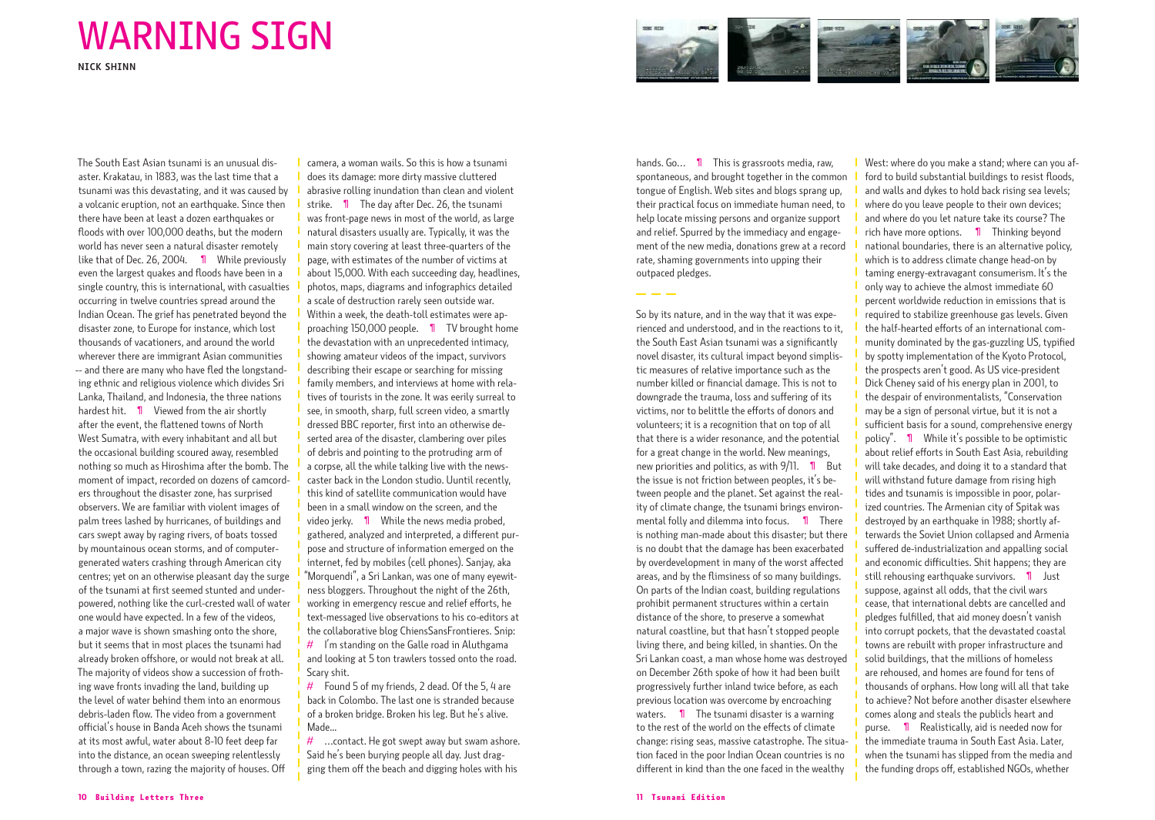## WARNING SIGN

**NICK SHINN**

The South East Asian tsunami is an unusual disaster. Krakatau, in 1883, was the last time that a tsunami was this devastating, and it was caused by a volcanic eruption, not an earthquake. Since then there have been at least a dozen earthquakes or floods with over 100,000 deaths, but the modern world has never seen a natural disaster remotely like that of Dec. 26, 2004. 1 While previously even the largest quakes and floods have been in a single country, this is international, with casualties occurring in twelve countries spread around the Indian Ocean. The grief has penetrated beyond the disaster zone, to Europe for instance, which lost thousands of vacationers, and around the world wherever there are immigrant Asian communities -- and there are many who have fled the longstanding ethnic and religious violence which divides Sri Lanka, Thailand, and Indonesia, the three nations hardest hit. 1 Viewed from the air shortly after the event, the flattened towns of North West Sumatra, with every inhabitant and all but the occasional building scoured away, resembled nothing so much as Hiroshima after the bomb. The moment of impact, recorded on dozens of camcorders throughout the disaster zone, has surprised observers. We are familiar with violent images of palm trees lashed by hurricanes, of buildings and cars swept away by raging rivers, of boats tossed by mountainous ocean storms, and of computergenerated waters crashing through American city centres; yet on an otherwise pleasant day the surge of the tsunami at first seemed stunted and underpowered, nothing like the curl-crested wall of water one would have expected. In a few of the videos, a major wave is shown smashing onto the shore, but it seems that in most places the tsunami had already broken offshore, or would not break at all. The majority of videos show a succession of frothing wave fronts invading the land, building up the level of water behind them into an enormous debris-laden flow. The video from a government official's house in Banda Aceh shows the tsunami at its most awful, water about 8-10 feet deep far into the distance, an ocean sweeping relentlessly through a town, razing the majority of houses. Off

camera, a woman wails. So this is how a tsunami does its damage: more dirty massive cluttered abrasive rolling inundation than clean and violent strike. ¶ The day after Dec. 26, the tsunami was front-page news in most of the world, as large natural disasters usually are. Typically, it was the main story covering at least three-quarters of the page, with estimates of the number of victims at about 15,000. With each succeeding day, headlines, photos, maps, diagrams and infographics detailed a scale of destruction rarely seen outside war. Within a week, the death-toll estimates were approaching 150,000 people. ¶ TV brought home the devastation with an unprecedented intimacy, showing amateur videos of the impact, survivors describing their escape or searching for missing family members, and interviews at home with relatives of tourists in the zone. It was eerily surreal to see, in smooth, sharp, full screen video, a smartly dressed BBC reporter, first into an otherwise deserted area of the disaster, clambering over piles of debris and pointing to the protruding arm of a corpse, all the while talking live with the newscaster back in the London studio. Uuntil recently, this kind of satellite communication would have been in a small window on the screen, and the video jerky. 1 While the news media probed, gathered, analyzed and interpreted, a different purpose and structure of information emerged on the internet, fed by mobiles (cell phones). Sanjay, aka "Morquendi", a Sri Lankan, was one of many eyewitness bloggers. Throughout the night of the 26th, working in emergency rescue and relief efforts, he text-messaged live observations to his co-editors at the collaborative blog ChiensSansFrontieres. Snip:  $#$  I'm standing on the Galle road in Aluthgama

and looking at 5 ton trawlers tossed onto the road. Scary shit.

 $#$  Found 5 of my friends, 2 dead. Of the 5, 4 are back in Colombo. The last one is stranded because of a broken bridge. Broken his leg. But he's alive. Made...

 $\#$  ... contact. He got swept away but swam ashore. Said he's been burying people all day. Just dragging them off the beach and digging holes with his



hands. Go... 1 This is grassroots media, raw. spontaneous, and brought together in the common tongue of English. Web sites and blogs sprang up, their practical focus on immediate human need, to help locate missing persons and organize support and relief. Spurred by the immediacy and engagement of the new media, donations grew at a record rate, shaming governments into upping their outpaced pledges.

So by its nature, and in the way that it was experienced and understood, and in the reactions to it, the South East Asian tsunami was a significantly novel disaster, its cultural impact beyond simplistic measures of relative importance such as the number killed or financial damage. This is not to downgrade the trauma, loss and suffering of its victims, nor to belittle the efforts of donors and volunteers; it is a recognition that on top of all that there is a wider resonance, and the potential for a great change in the world. New meanings, new priorities and politics, as with  $9/11$ . **1** But the issue is not friction between peoples, it's between people and the planet. Set against the reality of climate change, the tsunami brings environmental folly and dilemma into focus. ¶ There is nothing man-made about this disaster; but there is no doubt that the damage has been exacerbated by overdevelopment in many of the worst affected areas, and by the flimsiness of so many buildings. On parts of the Indian coast, building regulations prohibit permanent structures within a certain distance of the shore, to preserve a somewhat natural coastline, but that hasn't stopped people living there, and being killed, in shanties. On the Sri Lankan coast, a man whose home was destroyed on December 26th spoke of how it had been built progressively further inland twice before, as each previous location was overcome by encroaching waters. **I** The tsunami disaster is a warning to the rest of the world on the effects of climate change: rising seas, massive catastrophe. The situation faced in the poor Indian Ocean countries is no different in kind than the one faced in the wealthy

West: where do you make a stand; where can you afford to build substantial buildings to resist floods, and walls and dykes to hold back rising sea levels; where do you leave people to their own devices; and where do you let nature take its course? The rich have more options. ¶ Thinking beyond national boundaries, there is an alternative policy, which is to address climate change head-on by taming energy-extravagant consumerism. It's the only way to achieve the almost immediate 60 percent worldwide reduction in emissions that is required to stabilize greenhouse gas levels. Given the half-hearted efforts of an international community dominated by the gas-guzzling US, typified by spotty implementation of the Kyoto Protocol, the prospects aren't good. As US vice-president Dick Cheney said of his energy plan in 2001, to the despair of environmentalists, "Conservation may be a sign of personal virtue, but it is not a sufficient basis for a sound, comprehensive energy policy". ¶ While it's possible to be optimistic about relief efforts in South East Asia, rebuilding will take decades, and doing it to a standard that will withstand future damage from rising high tides and tsunamis is impossible in poor, polarized countries. The Armenian city of Spitak was destroyed by an earthquake in 1988; shortly afterwards the Soviet Union collapsed and Armenia suffered de-industrialization and appalling social and economic difficulties. Shit happens; they are still rehousing earthquake survivors. 1 Just suppose, against all odds, that the civil wars cease, that international debts are cancelled and pledges fulfilled, that aid money doesn't vanish into corrupt pockets, that the devastated coastal towns are rebuilt with proper infrastructure and solid buildings, that the millions of homeless are rehoused, and homes are found for tens of thousands of orphans. How long will all that take to achieve? Not before another disaster elsewhere comes along and steals the publicÌs heart and purse. ¶ Realistically, aid is needed now for the immediate trauma in South East Asia. Later, when the tsunami has slipped from the media and the funding drops off, established NGOs, whether